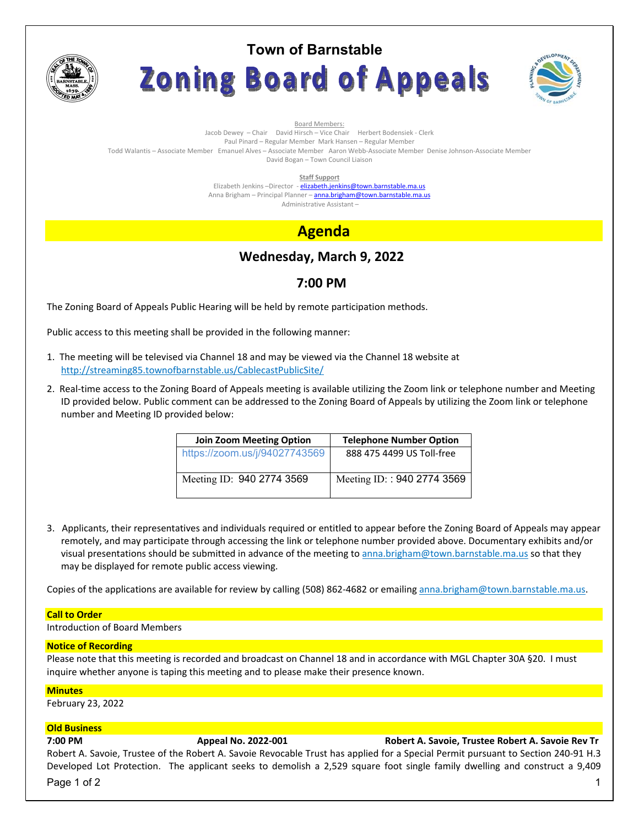

# **Town of Barnstable** Zoning Board of Appeals



Board Members: Jacob Dewey – Chair David Hirsch – Vice Chair Herbert Bodensiek - Clerk Paul Pinard – Regular Member Mark Hansen – Regular Member Todd Walantis – Associate Member Emanuel Alves – Associate Member Aaron Webb-Associate Member Denise Johnson-Associate Member David Bogan – Town Council Liaison

**Staff Support** 

Elizabeth Jenkins -Director - elizabeth.jenkins@town.barnstable.ma.us Anna Brigham – Principal Planner – **anna.brigham@town.barnstable.ma.us** Administrative Assistant –

# **Agenda**

# **Wednesday, March 9, 2022**

## **7:00 PM**

The Zoning Board of Appeals Public Hearing will be held by remote participation methods.

Public access to this meeting shall be provided in the following manner:

- 1. The meeting will be televised via Channel 18 and may be viewed via the Channel 18 website at http://streaming85.townofbarnstable.us/CablecastPublicSite/
- 2. Real-time access to the Zoning Board of Appeals meeting is available utilizing the Zoom link or telephone number and Meeting ID provided below. Public comment can be addressed to the Zoning Board of Appeals by utilizing the Zoom link or telephone number and Meeting ID provided below:

| <b>Join Zoom Meeting Option</b> | <b>Telephone Number Option</b> |
|---------------------------------|--------------------------------|
| https://zoom.us/j/94027743569   | 888 475 4499 US Toll-free      |
| Meeting ID: 940 2774 3569       | Meeting ID:: 940 2774 3569     |

3. Applicants, their representatives and individuals required or entitled to appear before the Zoning Board of Appeals may appear remotely, and may participate through accessing the link or telephone number provided above. Documentary exhibits and/or visual presentations should be submitted in advance of the meeting to anna.brigham@town.barnstable.ma.us so that they may be displayed for remote public access viewing.

Copies of the applications are available for review by calling (508) 862-4682 or emailing anna.brigham@town.barnstable.ma.us.

### **Call to Order**

Introduction of Board Members

#### **Notice of Recording**

Please note that this meeting is recorded and broadcast on Channel 18 and in accordance with MGL Chapter 30A §20. I must inquire whether anyone is taping this meeting and to please make their presence known.

#### **Minutes**

February 23, 2022

### **Old Business**

### **7:00 PM Appeal No. 2022-001 Robert A. Savoie, Trustee Robert A. Savoie Rev Tr**

Robert A. Savoie, Trustee of the Robert A. Savoie Revocable Trust has applied for a Special Permit pursuant to Section 240-91 H.3 Developed Lot Protection. The applicant seeks to demolish a 2,529 square foot single family dwelling and construct a 9,409